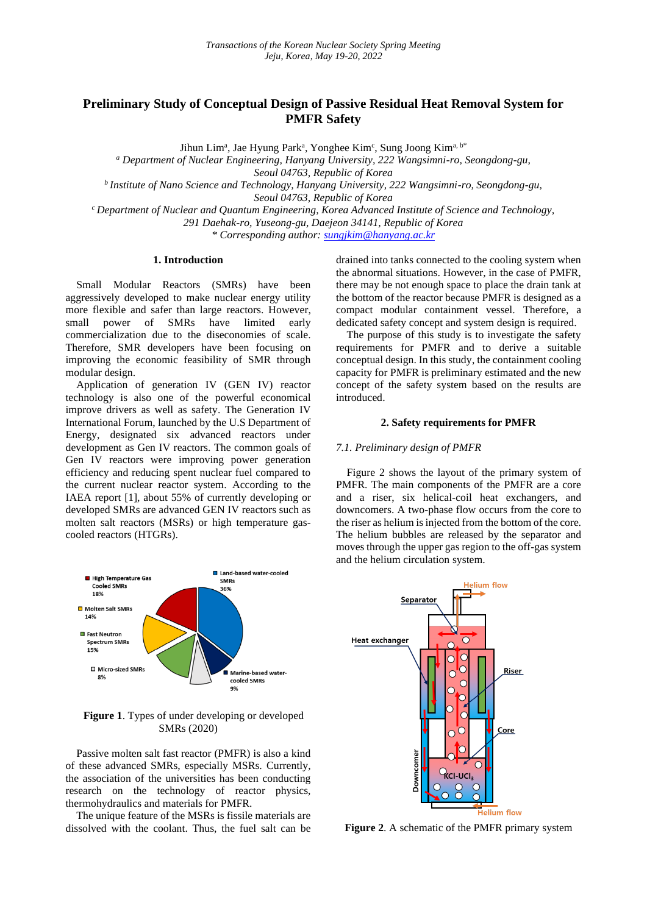# **Preliminary Study of Conceptual Design of Passive Residual Heat Removal System for PMFR Safety**

Jihun Lim<sup>a</sup>, Jae Hyung Park<sup>a</sup>, Yonghee Kim<sup>c</sup>, Sung Joong Kim<sup>a, b\*</sup>

*<sup>a</sup> Department of Nuclear Engineering, Hanyang University, 222 Wangsimni-ro, Seongdong-gu,*

*Seoul 04763, Republic of Korea*

*<sup>b</sup>Institute of Nano Science and Technology, Hanyang University, 222 Wangsimni-ro, Seongdong-gu, Seoul 04763, Republic of Korea*

*<sup>c</sup>Department of Nuclear and Quantum Engineering, Korea Advanced Institute of Science and Technology, 291 Daehak-ro, Yuseong-gu, Daejeon 34141, Republic of Korea \* Corresponding author: [sungjkim@hanyang.ac.kr](mailto:sungjkim@hanyang.ac.kr)*

### **1. Introduction**

Small Modular Reactors (SMRs) have been aggressively developed to make nuclear energy utility more flexible and safer than large reactors. However, small power of SMRs have limited early commercialization due to the diseconomies of scale. Therefore, SMR developers have been focusing on improving the economic feasibility of SMR through modular design.

Application of generation IV (GEN IV) reactor technology is also one of the powerful economical improve drivers as well as safety. The Generation IV International Forum, launched by the U.S Department of Energy, designated six advanced reactors under development as Gen IV reactors. The common goals of Gen IV reactors were improving power generation efficiency and reducing spent nuclear fuel compared to the current nuclear reactor system. According to the IAEA report [1], about 55% of currently developing or developed SMRs are advanced GEN IV reactors such as molten salt reactors (MSRs) or high temperature gascooled reactors (HTGRs).



**Figure 1**. Types of under developing or developed SMRs (2020)

Passive molten salt fast reactor (PMFR) is also a kind of these advanced SMRs, especially MSRs. Currently, the association of the universities has been conducting research on the technology of reactor physics, thermohydraulics and materials for PMFR.

The unique feature of the MSRs is fissile materials are dissolved with the coolant. Thus, the fuel salt can be drained into tanks connected to the cooling system when the abnormal situations. However, in the case of PMFR, there may be not enough space to place the drain tank at the bottom of the reactor because PMFR is designed as a compact modular containment vessel. Therefore, a dedicated safety concept and system design is required.

The purpose of this study is to investigate the safety requirements for PMFR and to derive a suitable conceptual design. In this study, the containment cooling capacity for PMFR is preliminary estimated and the new concept of the safety system based on the results are introduced.

# **2. Safety requirements for PMFR**

#### *7.1. Preliminary design of PMFR*

Figure 2 shows the layout of the primary system of PMFR. The main components of the PMFR are a core and a riser, six helical-coil heat exchangers, and downcomers. A two-phase flow occurs from the core to the riser as helium is injected from the bottom of the core. The helium bubbles are released by the separator and moves through the upper gas region to the off-gas system and the helium circulation system.



**Figure 2**. A schematic of the PMFR primary system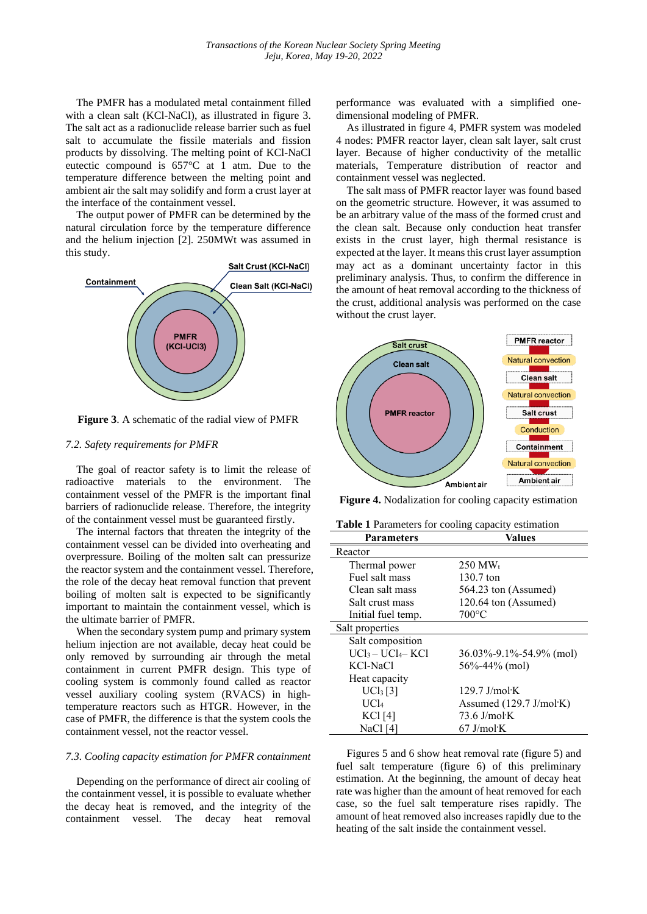The PMFR has a modulated metal containment filled with a clean salt (KCl-NaCl), as illustrated in figure 3. The salt act as a radionuclide release barrier such as fuel salt to accumulate the fissile materials and fission products by dissolving. The melting point of KCl-NaCl eutectic compound is 657°C at 1 atm. Due to the temperature difference between the melting point and ambient air the salt may solidify and form a crust layer at the interface of the containment vessel.

The output power of PMFR can be determined by the natural circulation force by the temperature difference and the helium injection [2]. 250MWt was assumed in this study.



**Figure 3**. A schematic of the radial view of PMFR

#### *7.2. Safety requirements for PMFR*

The goal of reactor safety is to limit the release of radioactive materials to the environment. The containment vessel of the PMFR is the important final barriers of radionuclide release. Therefore, the integrity of the containment vessel must be guaranteed firstly.

The internal factors that threaten the integrity of the containment vessel can be divided into overheating and overpressure. Boiling of the molten salt can pressurize the reactor system and the containment vessel. Therefore, the role of the decay heat removal function that prevent boiling of molten salt is expected to be significantly important to maintain the containment vessel, which is the ultimate barrier of PMFR.

When the secondary system pump and primary system helium injection are not available, decay heat could be only removed by surrounding air through the metal containment in current PMFR design. This type of cooling system is commonly found called as reactor vessel auxiliary cooling system (RVACS) in hightemperature reactors such as HTGR. However, in the case of PMFR, the difference is that the system cools the containment vessel, not the reactor vessel.

#### *7.3. Cooling capacity estimation for PMFR containment*

Depending on the performance of direct air cooling of the containment vessel, it is possible to evaluate whether the decay heat is removed, and the integrity of the containment vessel. The decay heat removal

performance was evaluated with a simplified onedimensional modeling of PMFR.

As illustrated in figure 4, PMFR system was modeled 4 nodes: PMFR reactor layer, clean salt layer, salt crust layer. Because of higher conductivity of the metallic materials, Temperature distribution of reactor and containment vessel was neglected.

The salt mass of PMFR reactor layer was found based on the geometric structure. However, it was assumed to be an arbitrary value of the mass of the formed crust and the clean salt. Because only conduction heat transfer exists in the crust layer, high thermal resistance is expected at the layer. It means this crust layer assumption may act as a dominant uncertainty factor in this preliminary analysis. Thus, to confirm the difference in the amount of heat removal according to the thickness of the crust, additional analysis was performed on the case without the crust layer.



**Figure 4.** Nodalization for cooling capacity estimation

|  |  |  | <b>Table 1</b> Parameters for cooling capacity estimation |
|--|--|--|-----------------------------------------------------------|
|  |  |  |                                                           |

| <b>Parameters</b>  | <b>Values</b>                                  |
|--------------------|------------------------------------------------|
| Reactor            |                                                |
| Thermal power      | $250 \text{ MW}_t$                             |
| Fuel salt mass     | $130.7$ ton                                    |
| Clean salt mass    | 564.23 ton (Assumed)                           |
| Salt crust mass    | 120.64 ton (Assumed)                           |
| Initial fuel temp. | $700^{\circ}$ C                                |
| Salt properties    |                                                |
| Salt composition   |                                                |
| $UCl_3-UCl_4-KCl$  | $36.03\% - 9.1\% - 54.9\%$ (mol)               |
| KCl-NaCl           | 56\%-44\% (mol)                                |
| Heat capacity      |                                                |
| $UCl_3$ [3]        | $129.7$ J/mol $\cdot$ K                        |
| UCl <sub>4</sub>   | Assumed $(129.7 \text{ J/mol} \cdot \text{K})$ |
| KCl [4]            | $73.6$ J/mol $\cdot$ K                         |
| NaCl [4]           | $67$ J/mol $\cdot$ K                           |

Figures 5 and 6 show heat removal rate (figure 5) and fuel salt temperature (figure 6) of this preliminary estimation. At the beginning, the amount of decay heat rate was higher than the amount of heat removed for each case, so the fuel salt temperature rises rapidly. The amount of heat removed also increases rapidly due to the heating of the salt inside the containment vessel.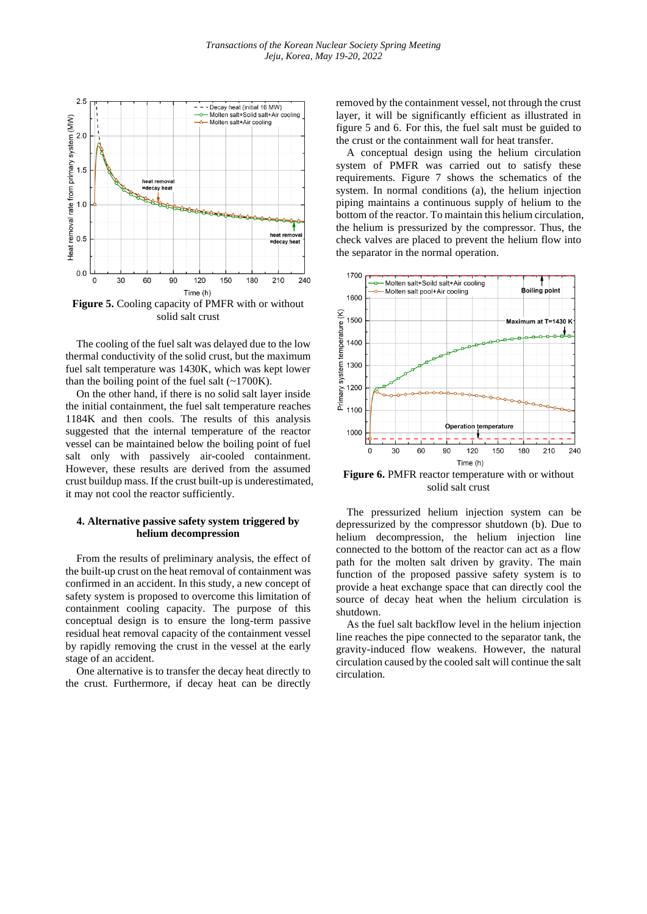

solid salt crust

The cooling of the fuel salt was delayed due to the low thermal conductivity of the solid crust, but the maximum fuel salt temperature was 1430K, which was kept lower than the boiling point of the fuel salt  $(-1700K)$ .

On the other hand, if there is no solid salt layer inside the initial containment, the fuel salt temperature reaches 1184K and then cools. The results of this analysis suggested that the internal temperature of the reactor vessel can be maintained below the boiling point of fuel salt only with passively air-cooled containment. However, these results are derived from the assumed crust buildup mass. If the crust built-up is underestimated, it may not cool the reactor sufficiently.

# **4. Alternative passive safety system triggered by helium decompression**

From the results of preliminary analysis, the effect of the built-up crust on the heat removal of containment was confirmed in an accident. In this study, a new concept of safety system is proposed to overcome this limitation of containment cooling capacity. The purpose of this conceptual design is to ensure the long-term passive residual heat removal capacity of the containment vessel by rapidly removing the crust in the vessel at the early stage of an accident.

One alternative is to transfer the decay heat directly to the crust. Furthermore, if decay heat can be directly removed by the containment vessel, not through the crust layer, it will be significantly efficient as illustrated in figure 5 and 6. For this, the fuel salt must be guided to the crust or the containment wall for heat transfer.

A conceptual design using the helium circulation system of PMFR was carried out to satisfy these requirements. Figure 7 shows the schematics of the system. In normal conditions (a), the helium injection piping maintains a continuous supply of helium to the bottom of the reactor. To maintain this helium circulation, the helium is pressurized by the compressor. Thus, the check valves are placed to prevent the helium flow into the separator in the normal operation.



**Figure 6.** PMFR reactor temperature with or without solid salt crust

The pressurized helium injection system can be depressurized by the compressor shutdown (b). Due to helium decompression, the helium injection line connected to the bottom of the reactor can act as a flow path for the molten salt driven by gravity. The main function of the proposed passive safety system is to provide a heat exchange space that can directly cool the source of decay heat when the helium circulation is shutdown.

As the fuel salt backflow level in the helium injection line reaches the pipe connected to the separator tank, the gravity-induced flow weakens. However, the natural circulation caused by the cooled salt will continue the salt circulation.